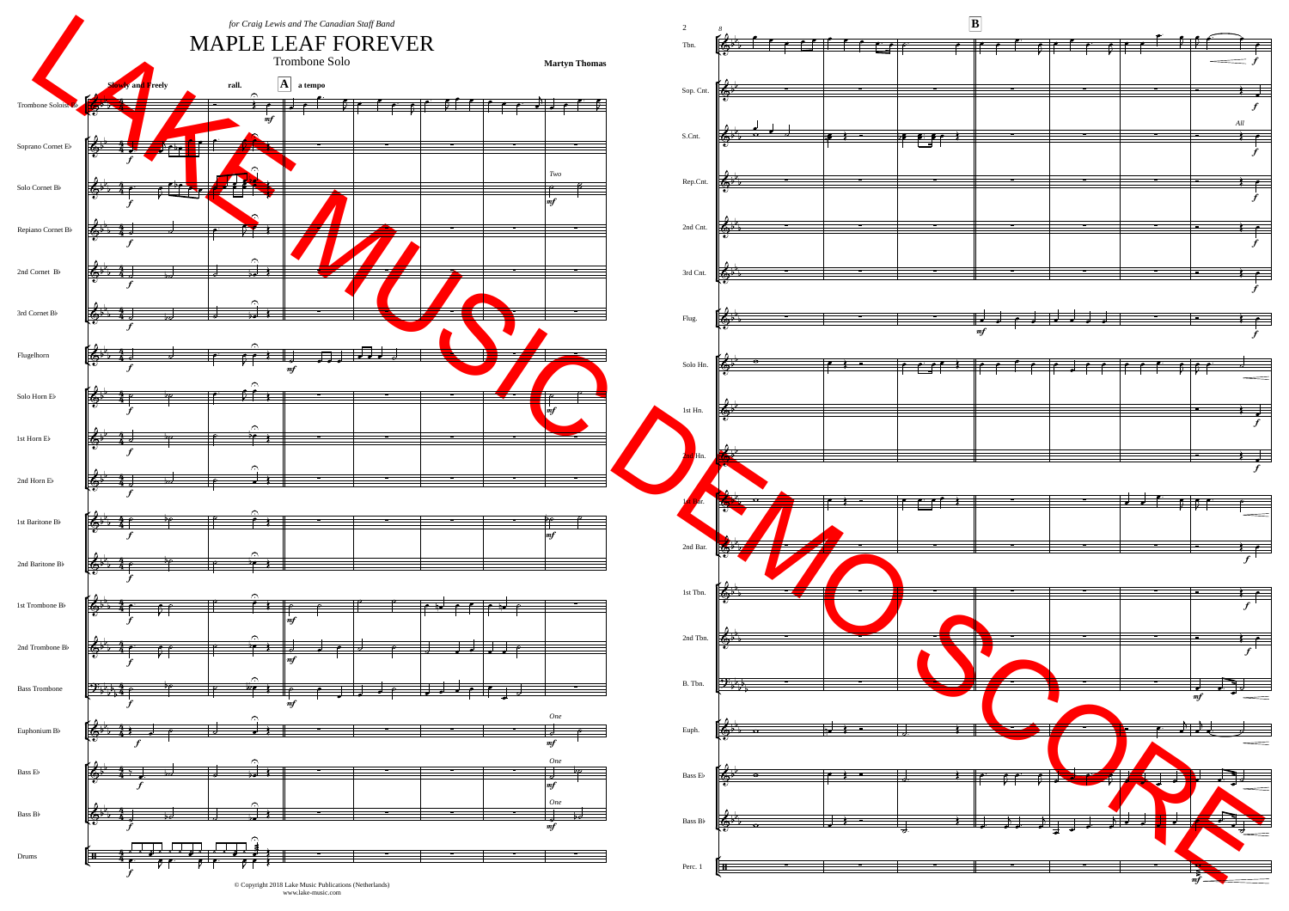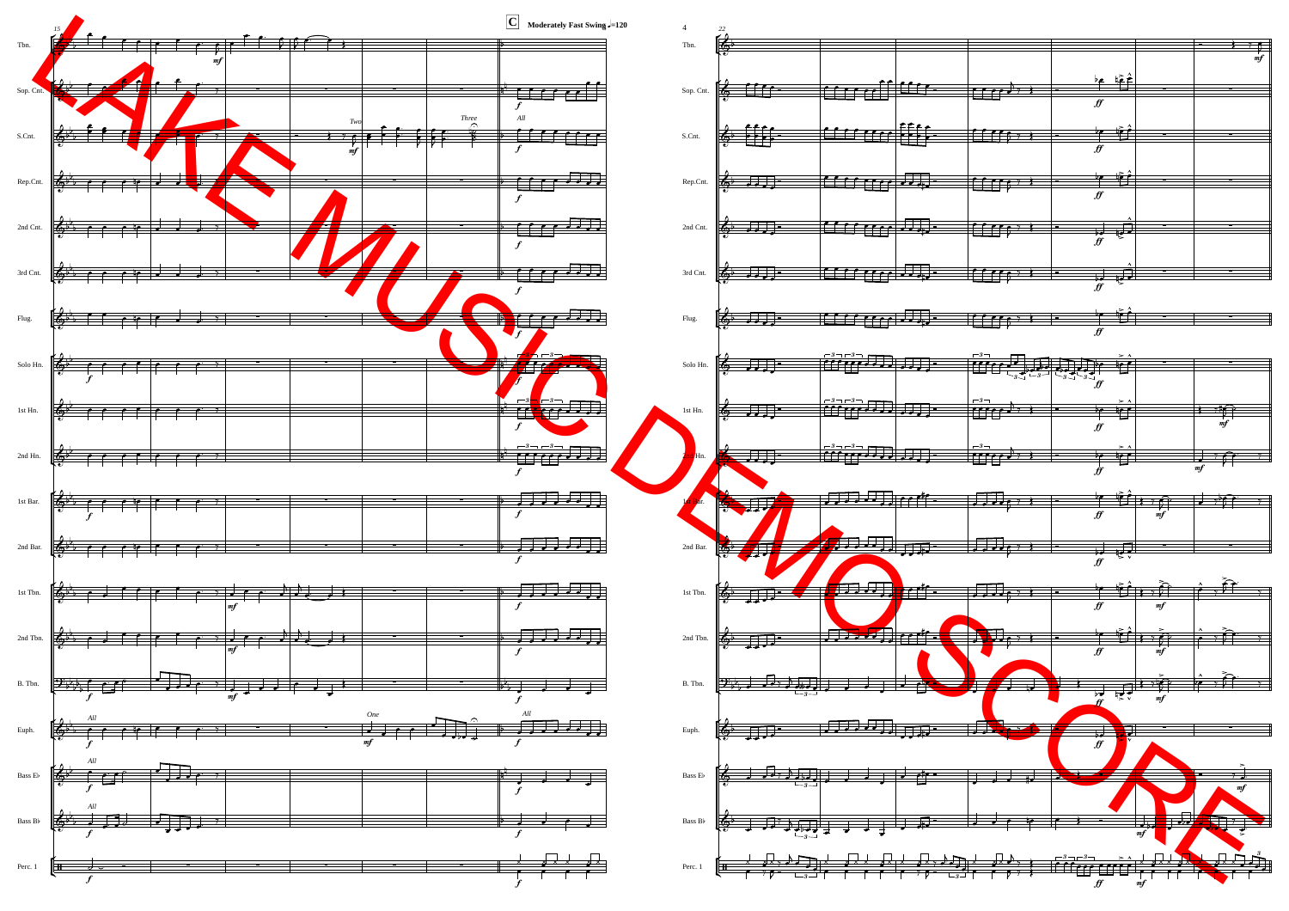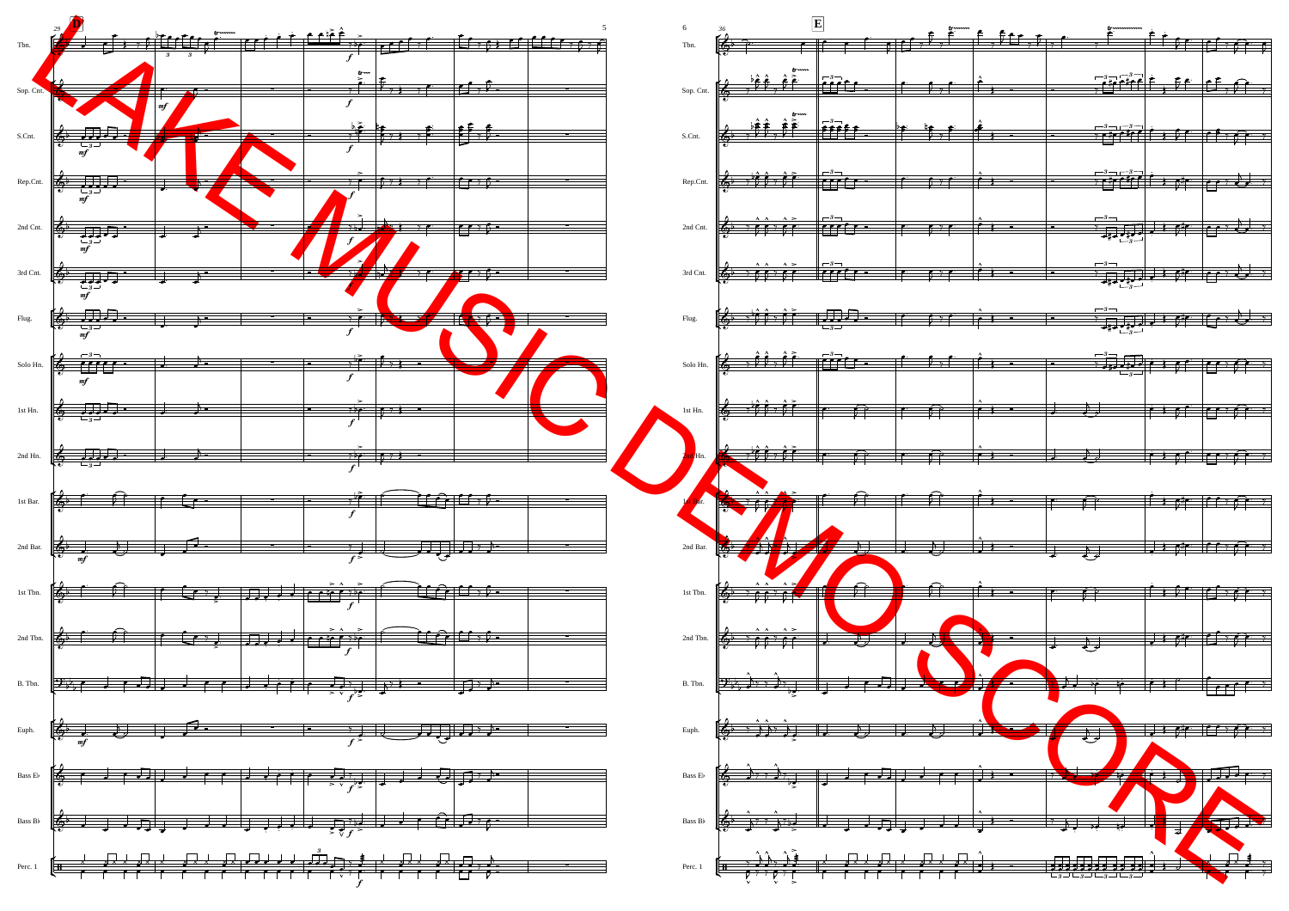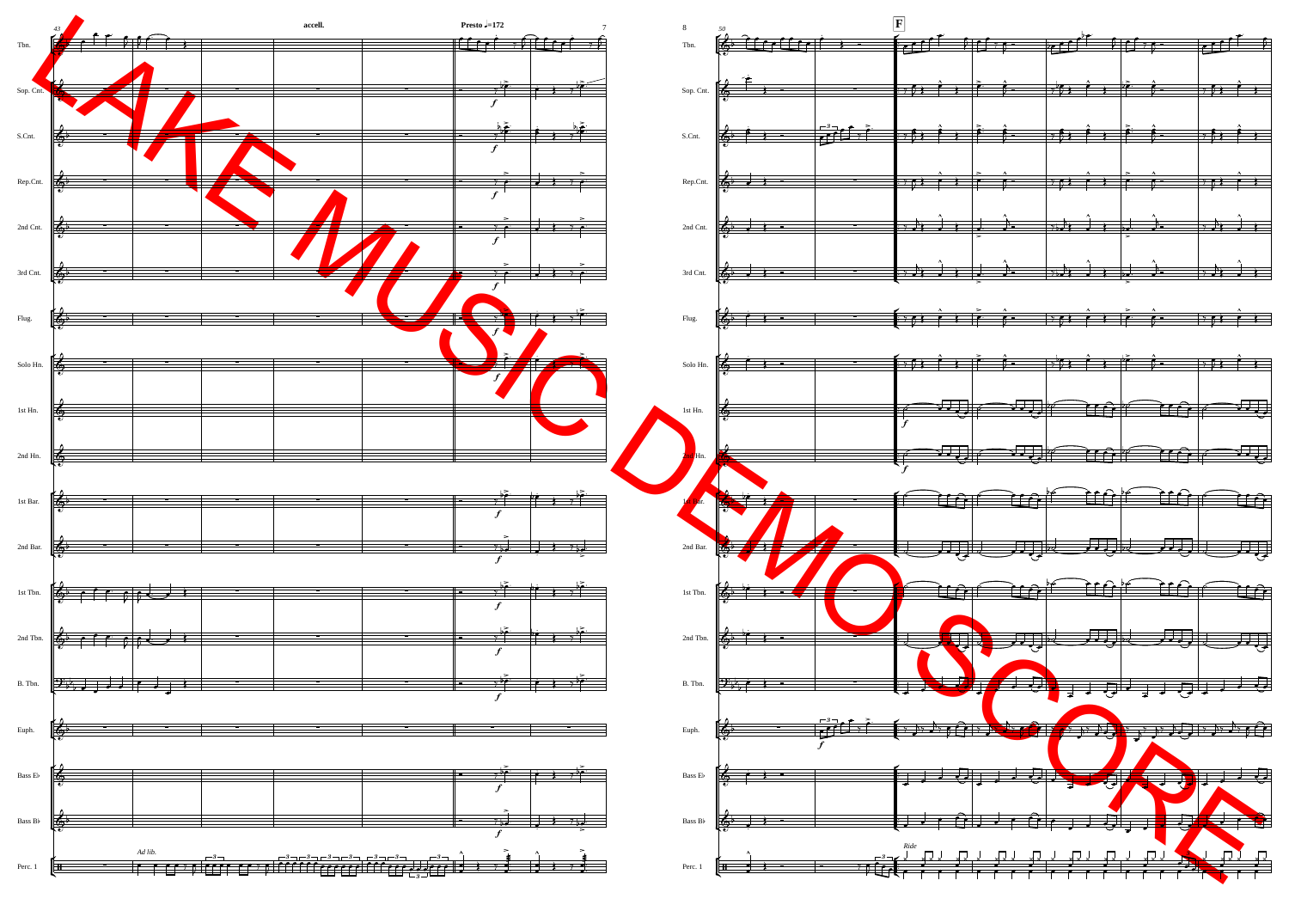